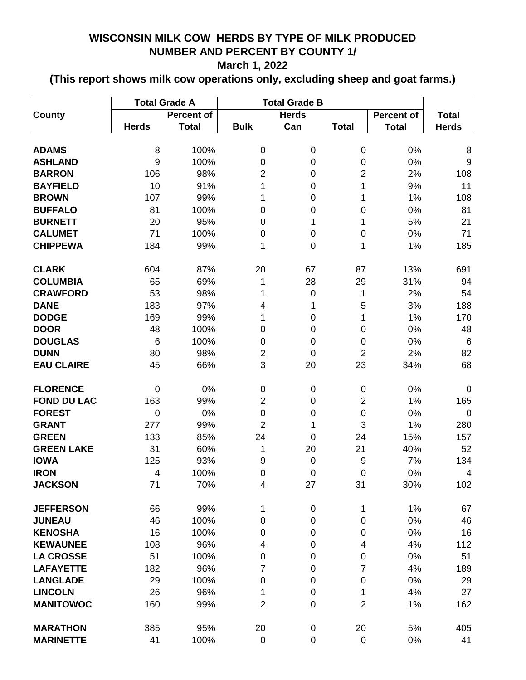## **WISCONSIN MILK COW HERDS BY TYPE OF MILK PRODUCED NUMBER AND PERCENT BY COUNTY 1/ March 1, 2022**

## **(This report shows milk cow operations only, excluding sheep and goat farms.)**

|                    | <b>Total Grade A</b> |                   | <b>Total Grade B</b> |                  |                          |                   |                  |
|--------------------|----------------------|-------------------|----------------------|------------------|--------------------------|-------------------|------------------|
| <b>County</b>      |                      | <b>Percent of</b> |                      | <b>Herds</b>     |                          | <b>Percent of</b> | <b>Total</b>     |
|                    | <b>Herds</b>         | <b>Total</b>      | <b>Bulk</b>          | Can              | <b>Total</b>             | <b>Total</b>      | <b>Herds</b>     |
|                    |                      |                   |                      |                  |                          |                   |                  |
| <b>ADAMS</b>       | 8                    | 100%              | $\mathbf 0$          | $\pmb{0}$        | 0                        | 0%                | 8                |
| <b>ASHLAND</b>     | $\overline{9}$       | 100%              | $\mathbf 0$          | $\mathbf 0$      | $\boldsymbol{0}$         | 0%                | $\boldsymbol{9}$ |
| <b>BARRON</b>      | 106                  | 98%               | $\overline{2}$       | 0                | $\overline{2}$           | 2%                | 108              |
| <b>BAYFIELD</b>    | 10                   | 91%               | 1                    | $\pmb{0}$        | 1                        | 9%                | 11               |
| <b>BROWN</b>       | 107                  | 99%               | 1                    | $\mathbf 0$      | 1                        | 1%                | 108              |
| <b>BUFFALO</b>     | 81                   | 100%              | 0                    | $\mathbf 0$      | 0                        | 0%                | 81               |
| <b>BURNETT</b>     | 20                   | 95%               | 0                    | 1                | 1                        | 5%                | 21               |
| <b>CALUMET</b>     | 71                   | 100%              | $\mathbf 0$          | $\boldsymbol{0}$ | $\boldsymbol{0}$         | 0%                | 71               |
| <b>CHIPPEWA</b>    | 184                  | 99%               | 1                    | 0                | 1                        | 1%                | 185              |
| <b>CLARK</b>       | 604                  | 87%               | 20                   | 67               | 87                       | 13%               | 691              |
| <b>COLUMBIA</b>    | 65                   | 69%               | 1                    | 28               | 29                       | 31%               | 94               |
| <b>CRAWFORD</b>    | 53                   | 98%               | 1                    | $\boldsymbol{0}$ | 1                        | 2%                | 54               |
| <b>DANE</b>        | 183                  | 97%               | $\overline{4}$       | 1                | 5                        | 3%                | 188              |
| <b>DODGE</b>       | 169                  | 99%               | 1                    | $\pmb{0}$        | 1                        | 1%                | 170              |
| <b>DOOR</b>        | 48                   | 100%              | $\mathbf 0$          | $\pmb{0}$        | $\boldsymbol{0}$         | 0%                | 48               |
| <b>DOUGLAS</b>     | $6\phantom{1}6$      | 100%              | $\mathbf 0$          | $\pmb{0}$        | $\boldsymbol{0}$         | 0%                | $6\phantom{1}6$  |
| <b>DUNN</b>        | 80                   | 98%               | $\overline{2}$       | $\pmb{0}$        | $\overline{2}$           | 2%                | 82               |
| <b>EAU CLAIRE</b>  | 45                   | 66%               | 3                    | 20               | 23                       | 34%               | 68               |
| <b>FLORENCE</b>    | $\mathbf 0$          | 0%                | $\boldsymbol{0}$     | $\pmb{0}$        | $\pmb{0}$                | 0%                | $\mathbf 0$      |
| <b>FOND DU LAC</b> | 163                  | 99%               | $\overline{2}$       | $\pmb{0}$        | $\overline{2}$           | 1%                | 165              |
| <b>FOREST</b>      | $\boldsymbol{0}$     | 0%                | $\mathbf 0$          | $\pmb{0}$        | $\boldsymbol{0}$         | 0%                | $\mathbf 0$      |
| <b>GRANT</b>       | 277                  | 99%               | $\overline{2}$       | 1                | 3                        | 1%                | 280              |
| <b>GREEN</b>       | 133                  | 85%               | 24                   | 0                | 24                       | 15%               | 157              |
| <b>GREEN LAKE</b>  | 31                   | 60%               | 1                    | 20               | 21                       | 40%               | 52               |
| <b>IOWA</b>        | 125                  | 93%               | 9                    | $\boldsymbol{0}$ | $9$                      | 7%                | 134              |
| <b>IRON</b>        | $\overline{4}$       | 100%              | $\mathbf 0$          | $\pmb{0}$        | $\pmb{0}$                | 0%                | $\overline{4}$   |
| <b>JACKSON</b>     | 71                   | 70%               | $\overline{4}$       | 27               | 31                       | 30%               | 102              |
| <b>JEFFERSON</b>   | 66                   | 99%               | 1                    | $\pmb{0}$        | 1                        | 1%                | 67               |
| <b>JUNEAU</b>      | 46                   | 100%              | 0                    | $\pmb{0}$        | $\boldsymbol{0}$         | 0%                | 46               |
| <b>KENOSHA</b>     | 16                   | 100%              | $\mathbf 0$          | $\pmb{0}$        | $\boldsymbol{0}$         | 0%                | 16               |
| <b>KEWAUNEE</b>    | 108                  | 96%               | $\overline{4}$       | $\pmb{0}$        | $\overline{\mathcal{A}}$ | 4%                | 112              |
| <b>LA CROSSE</b>   | 51                   | 100%              | $\mathbf 0$          | $\pmb{0}$        | $\boldsymbol{0}$         | 0%                | 51               |
| <b>LAFAYETTE</b>   | 182                  | 96%               | $\overline{7}$       | $\boldsymbol{0}$ | $\overline{7}$           | 4%                | 189              |
| <b>LANGLADE</b>    | 29                   | 100%              | 0                    | $\pmb{0}$        | $\mathbf 0$              | 0%                | 29               |
| <b>LINCOLN</b>     | 26                   | 96%               | 1                    | $\pmb{0}$        | 1                        | 4%                | 27               |
| <b>MANITOWOC</b>   | 160                  | 99%               | $\overline{2}$       | $\pmb{0}$        | $\overline{2}$           | 1%                | 162              |
| <b>MARATHON</b>    | 385                  | 95%               | 20                   | 0                | 20                       | 5%                | 405              |
| <b>MARINETTE</b>   | 41                   | 100%              | $\mathbf 0$          | $\pmb{0}$        | $\boldsymbol{0}$         | 0%                | 41               |